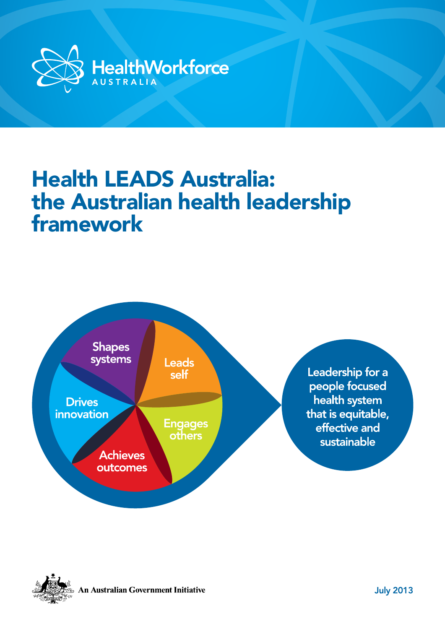

# Health LEADS Australia: the Australian health leadership framework





An Australian Government Initiative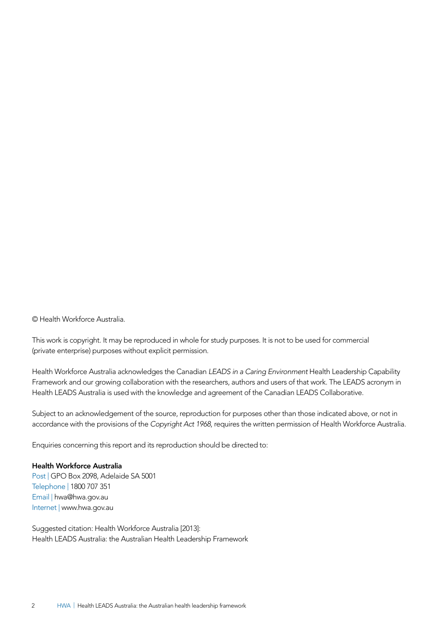© Health Workforce Australia.

This work is copyright. It may be reproduced in whole for study purposes. It is not to be used for commercial (private enterprise) purposes without explicit permission.

Health Workforce Australia acknowledges the Canadian *LEADS in a Caring Environment* Health Leadership Capability Framework and our growing collaboration with the researchers, authors and users of that work. The LEADS acronym in Health LEADS Australia is used with the knowledge and agreement of the Canadian LEADS Collaborative.

Subject to an acknowledgement of the source, reproduction for purposes other than those indicated above, or not in accordance with the provisions of the *Copyright Act 1968*, requires the written permission of Health Workforce Australia.

Enquiries concerning this report and its reproduction should be directed to:

#### Health Workforce Australia

Post | GPO Box 2098, Adelaide SA 5001 Telephone | 1800 707 351 Email | hwa@hwa.gov.au Internet | www.hwa.gov.au

Suggested citation: Health Workforce Australia [2013]: Health LEADS Australia: the Australian Health Leadership Framework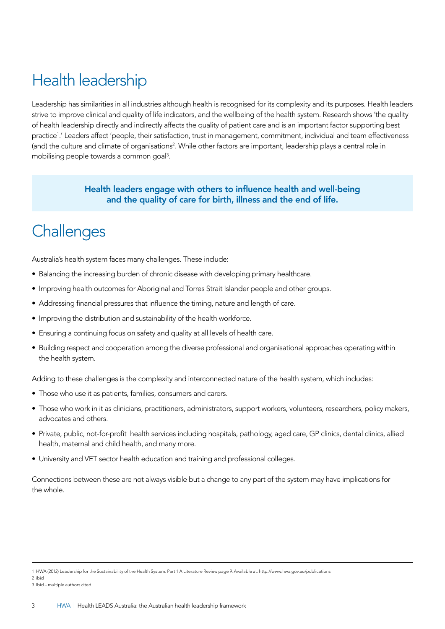## Health leadership

Leadership has similarities in all industries although health is recognised for its complexity and its purposes. Health leaders strive to improve clinical and quality of life indicators, and the wellbeing of the health system. Research shows 'the quality of health leadership directly and indirectly affects the quality of patient care and is an important factor supporting best practice1 .' Leaders affect 'people, their satisfaction, trust in management, commitment, individual and team effectiveness (and) the culture and climate of organisations<sup>2</sup>. While other factors are important, leadership plays a central role in mobilising people towards a common goal3.

> Health leaders engage with others to influence health and well-being and the quality of care for birth, illness and the end of life.

### **Challenges**

Australia's health system faces many challenges. These include:

- Balancing the increasing burden of chronic disease with developing primary healthcare.
- Improving health outcomes for Aboriginal and Torres Strait Islander people and other groups.
- Addressing financial pressures that influence the timing, nature and length of care.
- Improving the distribution and sustainability of the health workforce.
- Ensuring a continuing focus on safety and quality at all levels of health care.
- Building respect and cooperation among the diverse professional and organisational approaches operating within the health system.

Adding to these challenges is the complexity and interconnected nature of the health system, which includes:

- Those who use it as patients, families, consumers and carers.
- Those who work in it as clinicians, practitioners, administrators, support workers, volunteers, researchers, policy makers, advocates and others.
- Private, public, not-for-profit health services including hospitals, pathology, aged care, GP clinics, dental clinics, allied health, maternal and child health, and many more.
- University and VET sector health education and training and professional colleges.

Connections between these are not always visible but a change to any part of the system may have implications for the whole.

<sup>1</sup> HWA (2012) Leadership for the Sustainability of the Health System: Part 1 A Literature Review page 9. Available at: http://www.hwa.gov.au/publications

<sup>2</sup> ibid

<sup>3</sup> Ibid – multiple authors cited.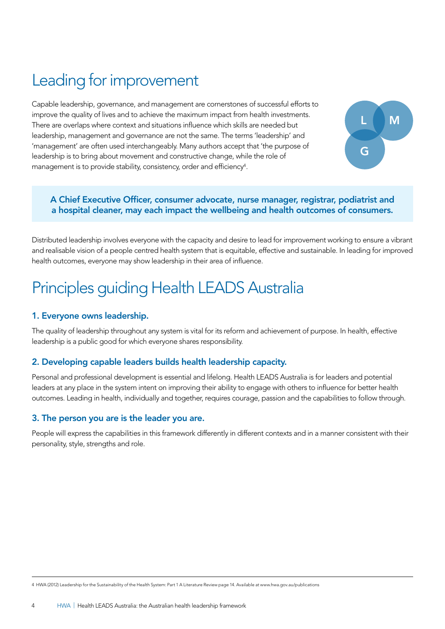## Leading for improvement

Capable leadership, governance, and management are cornerstones of successful efforts to improve the quality of lives and to achieve the maximum impact from health investments. There are overlaps where context and situations influence which skills are needed but leadership, management and governance are not the same. The terms 'leadership' and 'management' are often used interchangeably. Many authors accept that 'the purpose of leadership is to bring about movement and constructive change, while the role of management is to provide stability, consistency, order and efficiency<sup>4</sup>.



#### A Chief Executive Officer, consumer advocate, nurse manager, registrar, podiatrist and a hospital cleaner, may each impact the wellbeing and health outcomes of consumers.

Distributed leadership involves everyone with the capacity and desire to lead for improvement working to ensure a vibrant and realisable vision of a people centred health system that is equitable, effective and sustainable. In leading for improved health outcomes, everyone may show leadership in their area of influence.

## Principles guiding Health LEADS Australia

#### 1. Everyone owns leadership.

The quality of leadership throughout any system is vital for its reform and achievement of purpose. In health, effective leadership is a public good for which everyone shares responsibility.

#### 2. Developing capable leaders builds health leadership capacity.

Personal and professional development is essential and lifelong. Health LEADS Australia is for leaders and potential leaders at any place in the system intent on improving their ability to engage with others to influence for better health outcomes. Leading in health, individually and together, requires courage, passion and the capabilities to follow through.

#### 3. The person you are is the leader you are.

People will express the capabilities in this framework differently in different contexts and in a manner consistent with their personality, style, strengths and role.

4 HWA (2012) Leadership for the Sustainability of the Health System: Part 1 A Literature Review page 14. Available at www.hwa.gov.au/publications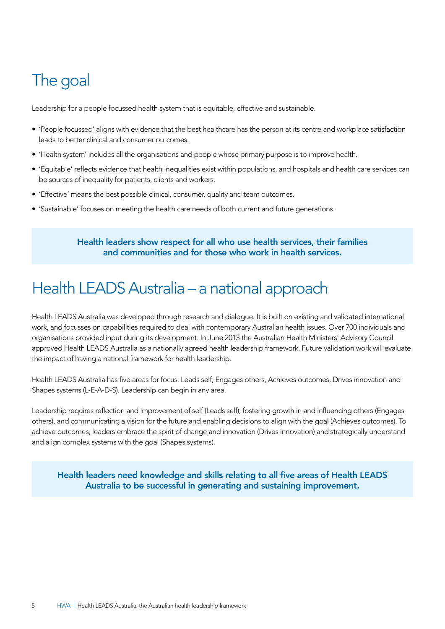### The goal

Leadership for a people focussed health system that is equitable, effective and sustainable.

- 'People focussed' aligns with evidence that the best healthcare has the person at its centre and workplace satisfaction leads to better clinical and consumer outcomes.
- 'Health system' includes all the organisations and people whose primary purpose is to improve health.
- 'Equitable' reflects evidence that health inequalities exist within populations, and hospitals and health care services can be sources of inequality for patients, clients and workers.
- 'Effective' means the best possible clinical, consumer, quality and team outcomes.
- 'Sustainable' focuses on meeting the health care needs of both current and future generations.

#### Health leaders show respect for all who use health services, their families and communities and for those who work in health services.

### Health LEADS Australia – a national approach

Health LEADS Australia was developed through research and dialogue. It is built on existing and validated international work, and focusses on capabilities required to deal with contemporary Australian health issues. Over 700 individuals and organisations provided input during its development. In June 2013 the Australian Health Ministers' Advisory Council approved Health LEADS Australia as a nationally agreed health leadership framework. Future validation work will evaluate the impact of having a national framework for health leadership.

Health LEADS Australia has five areas for focus: Leads self, Engages others, Achieves outcomes, Drives innovation and Shapes systems (L-E-A-D-S). Leadership can begin in any area.

Leadership requires reflection and improvement of self (Leads self), fostering growth in and influencing others (Engages others), and communicating a vision for the future and enabling decisions to align with the goal (Achieves outcomes). To achieve outcomes, leaders embrace the spirit of change and innovation (Drives innovation) and strategically understand and align complex systems with the goal (Shapes systems).

Health leaders need knowledge and skills relating to all five areas of Health LEADS Australia to be successful in generating and sustaining improvement.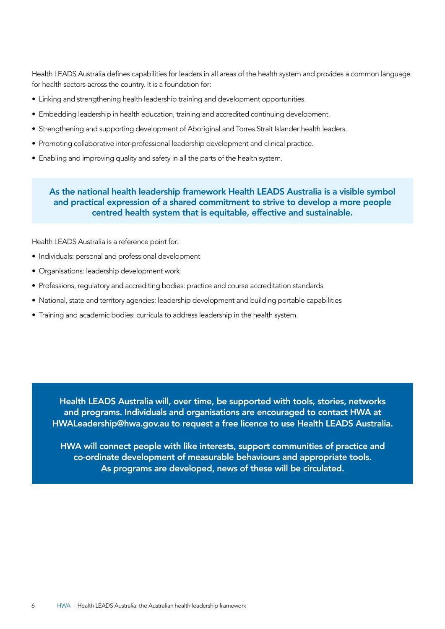Health LEADS Australia defines capabilities for leaders in all areas of the health system and provides a common language for health sectors across the country. It is a foundation for:

- Linking and strengthening health leadership training and development opportunities.
- Embedding leadership in health education, training and accredited continuing development.
- Strengthening and supporting development of Aboriginal and Torres Strait Islander health leaders.
- Promoting collaborative inter-professional leadership development and clinical practice.
- Enabling and improving quality and safety in all the parts of the health system.

#### As the national health leadership framework Health LEADS Australia is a visible symbol and practical expression of a shared commitment to strive to develop a more people centred health system that is equitable, effective and sustainable.

Health LEADS Australia is a reference point for:

- Individuals: personal and professional development
- Organisations: leadership development work
- Professions, regulatory and accrediting bodies: practice and course accreditation standards
- National, state and territory agencies: leadership development and building portable capabilities
- Training and academic bodies: curricula to address leadership in the health system.

Health LEADS Australia will, over time, be supported with tools, stories, networks and programs. Individuals and organisations are encouraged to contact HWA at HWALeadership@hwa.gov.au to request a free licence to use Health LEADS Australia.

HWA will connect people with like interests, support communities of practice and co-ordinate development of measurable behaviours and appropriate tools. As programs are developed, news of these will be circulated.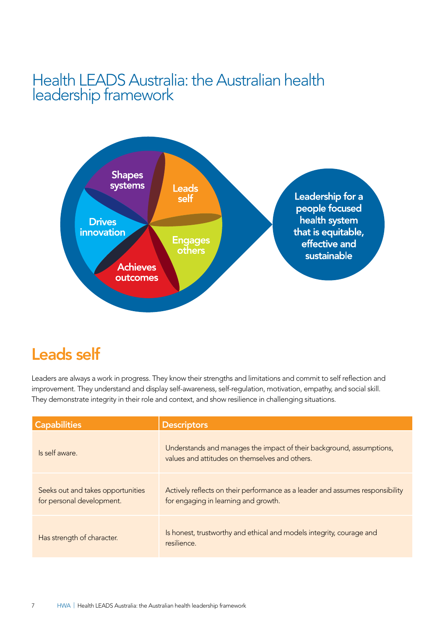### Health LEADS Australia: the Australian health leadership framework



### Leads self

Leaders are always a work in progress. They know their strengths and limitations and commit to self reflection and improvement. They understand and display self-awareness, self-regulation, motivation, empathy, and social skill. They demonstrate integrity in their role and context, and show resilience in challenging situations.

| <b>Capabilities</b>                                            | <b>Descriptors</b>                                                                                                     |
|----------------------------------------------------------------|------------------------------------------------------------------------------------------------------------------------|
| Is self aware.                                                 | Understands and manages the impact of their background, assumptions,<br>values and attitudes on themselves and others. |
| Seeks out and takes opportunities<br>for personal development. | Actively reflects on their performance as a leader and assumes responsibility<br>for engaging in learning and growth.  |
| Has strength of character.                                     | Is honest, trustworthy and ethical and models integrity, courage and<br>resilience.                                    |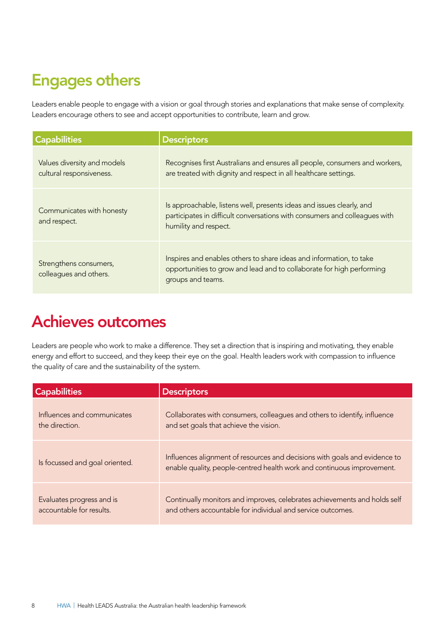### Engages others

Leaders enable people to engage with a vision or goal through stories and explanations that make sense of complexity. Leaders encourage others to see and accept opportunities to contribute, learn and grow.

| <b>Capabilities</b>                                     | <b>Descriptors</b>                                                                                                                                                           |
|---------------------------------------------------------|------------------------------------------------------------------------------------------------------------------------------------------------------------------------------|
| Values diversity and models<br>cultural responsiveness. | Recognises first Australians and ensures all people, consumers and workers,<br>are treated with dignity and respect in all healthcare settings.                              |
| Communicates with honesty<br>and respect.               | Is approachable, listens well, presents ideas and issues clearly, and<br>participates in difficult conversations with consumers and colleagues with<br>humility and respect. |
| Strengthens consumers,<br>colleagues and others.        | Inspires and enables others to share ideas and information, to take<br>opportunities to grow and lead and to collaborate for high performing<br>groups and teams.            |

### Achieves outcomes

Leaders are people who work to make a difference. They set a direction that is inspiring and motivating, they enable energy and effort to succeed, and they keep their eye on the goal. Health leaders work with compassion to influence the quality of care and the sustainability of the system.

| <b>Capabilities</b>            | <b>Descriptors</b>                                                                                                                                   |
|--------------------------------|------------------------------------------------------------------------------------------------------------------------------------------------------|
| Influences and communicates    | Collaborates with consumers, colleagues and others to identify, influence                                                                            |
| the direction.                 | and set goals that achieve the vision.                                                                                                               |
| Is focussed and goal oriented. | Influences alignment of resources and decisions with goals and evidence to<br>enable quality, people-centred health work and continuous improvement. |
| Evaluates progress and is      | Continually monitors and improves, celebrates achievements and holds self                                                                            |
| accountable for results.       | and others accountable for individual and service outcomes.                                                                                          |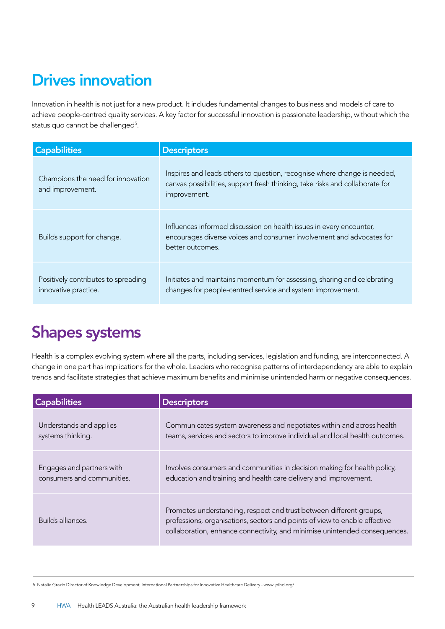## Drives innovation

Innovation in health is not just for a new product. It includes fundamental changes to business and models of care to achieve people-centred quality services. A key factor for successful innovation is passionate leadership, without which the status quo cannot be challenged<sup>5</sup>.

| <b>Capabilities</b>                                         | <b>Descriptors</b>                                                                                                                                                       |
|-------------------------------------------------------------|--------------------------------------------------------------------------------------------------------------------------------------------------------------------------|
| Champions the need for innovation<br>and improvement.       | Inspires and leads others to question, recognise where change is needed,<br>canvas possibilities, support fresh thinking, take risks and collaborate for<br>improvement. |
| Builds support for change.                                  | Influences informed discussion on health issues in every encounter,<br>encourages diverse voices and consumer involvement and advocates for<br>better outcomes.          |
| Positively contributes to spreading<br>innovative practice. | Initiates and maintains momentum for assessing, sharing and celebrating<br>changes for people-centred service and system improvement.                                    |

### Shapes systems

Health is a complex evolving system where all the parts, including services, legislation and funding, are interconnected. A change in one part has implications for the whole. Leaders who recognise patterns of interdependency are able to explain trends and facilitate strategies that achieve maximum benefits and minimise unintended harm or negative consequences.

| <b>Capabilities</b>        | <b>Descriptors</b>                                                                                                                                                                                                              |
|----------------------------|---------------------------------------------------------------------------------------------------------------------------------------------------------------------------------------------------------------------------------|
| Understands and applies    | Communicates system awareness and negotiates within and across health                                                                                                                                                           |
| systems thinking.          | teams, services and sectors to improve individual and local health outcomes.                                                                                                                                                    |
| Engages and partners with  | Involves consumers and communities in decision making for health policy,                                                                                                                                                        |
| consumers and communities. | education and training and health care delivery and improvement.                                                                                                                                                                |
| Builds alliances.          | Promotes understanding, respect and trust between different groups,<br>professions, organisations, sectors and points of view to enable effective<br>collaboration, enhance connectivity, and minimise unintended consequences. |

5 Natalie Grazin Director of Knowledge Development, International Partnerships for Innovative Healthcare Delivery - www.ipihd.org/